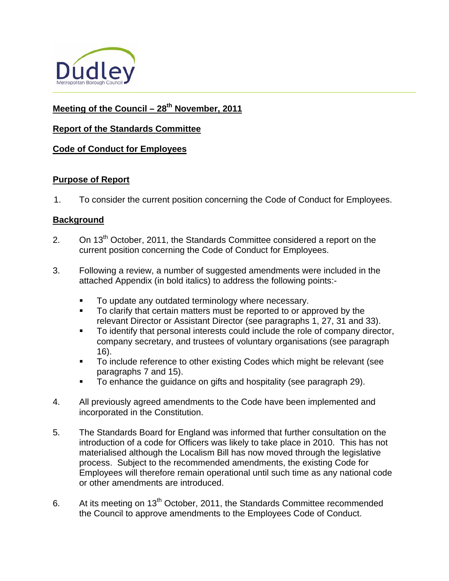

# Meeting of the Council – 28<sup>th</sup> November, 2011

### **Report of the Standards Committee**

#### **Code of Conduct for Employees**

#### **Purpose of Report**

1. To consider the current position concerning the Code of Conduct for Employees.

### **Background**

- 2. On 13<sup>th</sup> October, 2011, the Standards Committee considered a report on the current position concerning the Code of Conduct for Employees.
- 3. Following a review, a number of suggested amendments were included in the attached Appendix (in bold italics) to address the following points:-
	- **To update any outdated terminology where necessary.**
	- To clarify that certain matters must be reported to or approved by the relevant Director or Assistant Director (see paragraphs 1, 27, 31 and 33).
	- To identify that personal interests could include the role of company director, company secretary, and trustees of voluntary organisations (see paragraph 16).
	- To include reference to other existing Codes which might be relevant (see paragraphs 7 and 15).
	- To enhance the guidance on gifts and hospitality (see paragraph 29).
- 4. All previously agreed amendments to the Code have been implemented and incorporated in the Constitution.
- 5. The Standards Board for England was informed that further consultation on the introduction of a code for Officers was likely to take place in 2010. This has not materialised although the Localism Bill has now moved through the legislative process. Subject to the recommended amendments, the existing Code for Employees will therefore remain operational until such time as any national code or other amendments are introduced.
- 6. At its meeting on 13<sup>th</sup> October, 2011, the Standards Committee recommended the Council to approve amendments to the Employees Code of Conduct.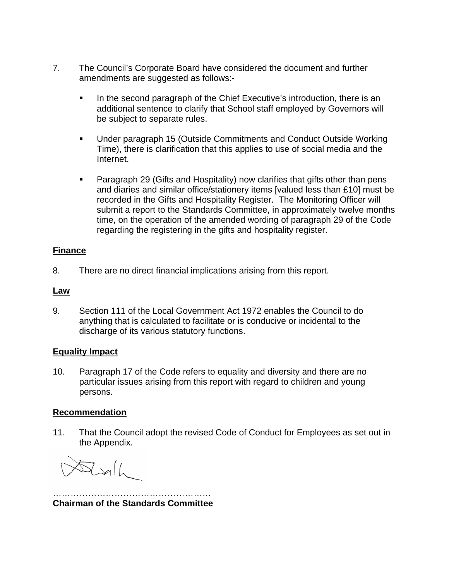- 7. The Council's Corporate Board have considered the document and further amendments are suggested as follows:-
	- In the second paragraph of the Chief Executive's introduction, there is an additional sentence to clarify that School staff employed by Governors will be subject to separate rules.
	- Under paragraph 15 (Outside Commitments and Conduct Outside Working Time), there is clarification that this applies to use of social media and the Internet.
	- **Paragraph 29 (Gifts and Hospitality) now clarifies that gifts other than pens** and diaries and similar office/stationery items [valued less than £10] must be recorded in the Gifts and Hospitality Register. The Monitoring Officer will submit a report to the Standards Committee, in approximately twelve months time, on the operation of the amended wording of paragraph 29 of the Code regarding the registering in the gifts and hospitality register.

### **Finance**

8. There are no direct financial implications arising from this report.

### **Law**

9. Section 111 of the Local Government Act 1972 enables the Council to do anything that is calculated to facilitate or is conducive or incidental to the discharge of its various statutory functions.

#### **Equality Impact**

10. Paragraph 17 of the Code refers to equality and diversity and there are no particular issues arising from this report with regard to children and young persons.

#### **Recommendation**

11. That the Council adopt the revised Code of Conduct for Employees as set out in the Appendix.

 $\frac{1}{2}$ 

……………………………………………… **Chairman of the Standards Committee**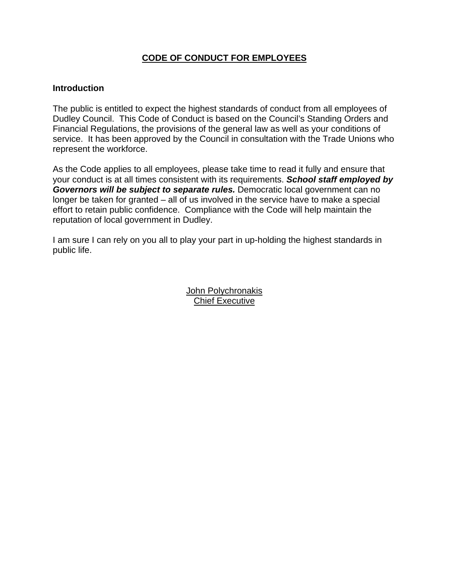## **CODE OF CONDUCT FOR EMPLOYEES**

#### **Introduction**

service. It has been approved by the Council in consultation with the Trade Unions who represent the workforce. The public is entitled to expect the highest standards of conduct from all employees of Dudley Council. This Code of Conduct is based on the Council's Standing Orders and Financial Regulations, the provisions of the general law as well as your conditions of

*y*  your conduct is at all times consistent with its requirements. *School staff employed b* longer be taken for granted – all of us involved in the service have to make a special effort to retain public confidence. Compliance with the Code will help maintain the reputation of local government in Dudley. As the Code applies to all employees, please take time to read it fully and ensure that *Governors will be subject to separate rules.* Democratic local government can no

I am sure I can rely on you all to play your part in up-holding the highest standards in public life.

> Jo hn Polychronakis Chief Executive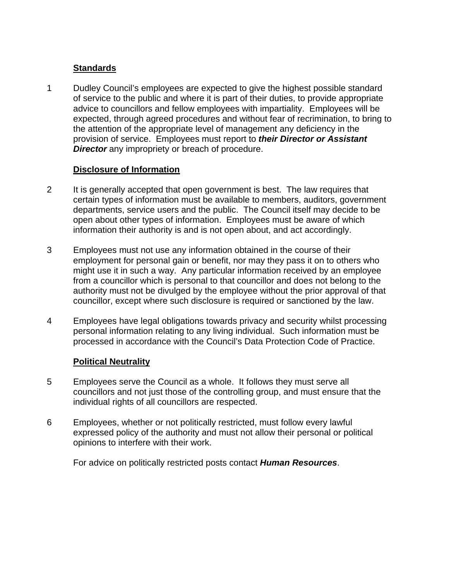### **Standards**

1 Dudley Council's employees are expected to give the highest possible standard of service to the public and where it is part of their duties, to provide appropriate advice to councillors and fellow employees with impartiality. Employees will be expected, through agreed procedures and without fear of recrimination, to bring to the attention of the appropriate level of management any deficiency in the provision of service. Employees must report to *their Director or Assistant Director* any impropriety or breach of procedure.

#### **Disclosure of Information**

- 2 It is generally accepted that open government is best. The law requires that certain types of information must be available to members, auditors, government departments, service users and the public. The Council itself may decide to be open about other types of information. Employees must be aware of which information their authority is and is not open about, and act accordingly.
- 3 Employees must not use any information obtained in the course of their employment for personal gain or benefit, nor may they pass it on to others who might use it in such a way. Any particular information received by an employee from a councillor which is personal to that councillor and does not belong to the authority must not be divulged by the employee without the prior approval of that councillor, except where such disclosure is required or sanctioned by the law.
- 4 Employees have legal obligations towards privacy and security whilst processing personal information relating to any living individual. Such information must be processed in accordance with the Council's Data Protection Code of Practice.

## **Political Neutrality**

- 5 Employees serve the Council as a whole. It follows they must serve all councillors and not just those of the controlling group, and must ensure that the individual rights of all councillors are respected.
- 6 Employees, whether or not politically restricted, must follow every lawful expressed policy of the authority and must not allow their personal or political opinions to interfere with their work.

For advice on politically restricted posts contact *Human Resources*.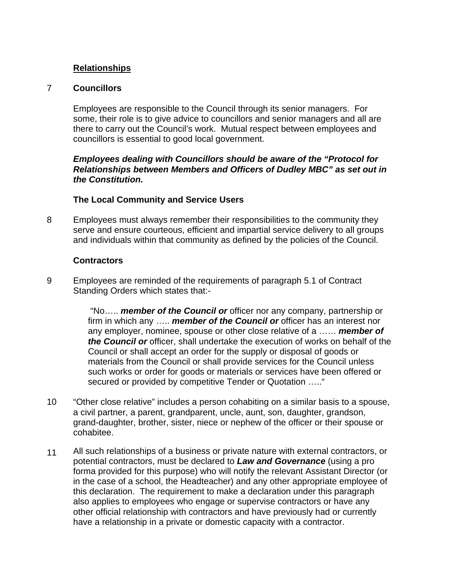### **Relationships**

#### 7 **Councillors**

Employees are responsible to the Council through its senior managers. For some, their role is to give advice to councillors and senior managers and all are there to carry out the Council's work. Mutual respect between employees and councillors is essential to good local government.

#### *Employees dealing with Councillors should be aware of the "Protocol for Relationships between Members and Officers of Dudley MBC" as set out in the Constitution.*

#### **The Local Community and Service Users**

8 Employees must always remember their responsibilities to the community they serve and ensure courteous, efficient and impartial service delivery to all groups and individuals within that community as defined by the policies of the Council.

#### **Contractors**

9 Employees are reminded of the requirements of paragraph 5.1 of Contract Standing Orders which states that:-

> "No….. *member of the Council or* officer nor any company, partnership or firm in which any ….. *member of the Council or* officer has an interest nor any employer, nominee, spouse or other close relative of a …… *member of the Council or* officer, shall undertake the execution of works on behalf of the Council or shall accept an order for the supply or disposal of goods or materials from the Council or shall provide services for the Council unless such works or order for goods or materials or services have been offered or secured or provided by competitive Tender or Quotation ….."

- 10 "Other close relative" includes a person cohabiting on a similar basis to a spouse, a civil partner, a parent, grandparent, uncle, aunt, son, daughter, grandson, grand-daughter, brother, sister, niece or nephew of the officer or their spouse or cohabitee.
- 11 All such relationships of a business or private nature with external contractors, or potential contractors, must be declared to *Law and Governance* (using a pro forma provided for this purpose) who will notify the relevant Assistant Director (or in the case of a school, the Headteacher) and any other appropriate employee of this declaration. The requirement to make a declaration under this paragraph also applies to employees who engage or supervise contractors or have any other official relationship with contractors and have previously had or currently have a relationship in a private or domestic capacity with a contractor.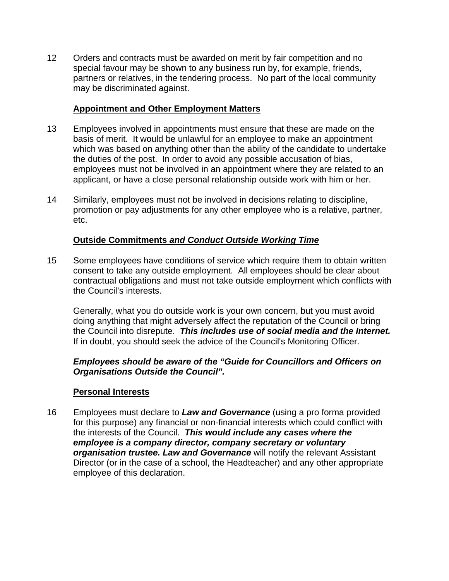12 Orders and contracts must be awarded on merit by fair competition and no special favour may be shown to any business run by, for example, friends, partners or relatives, in the tendering process. No part of the local community may be discriminated against.

### **Appointment and Other Employment Matters**

- 13 Employees involved in appointments must ensure that these are made on the basis of merit. It would be unlawful for an employee to make an appointment which was based on anything other than the ability of the candidate to undertake the duties of the post. In order to avoid any possible accusation of bias, employees must not be involved in an appointment where they are related to an applicant, or have a close personal relationship outside work with him or her.
- 14 Similarly, employees must not be involved in decisions relating to discipline, promotion or pay adjustments for any other employee who is a relative, partner, etc.

#### **Outside Commitments** *and Conduct Outside Working Time*

15 Some employees have conditions of service which require them to obtain written consent to take any outside employment. All employees should be clear about contractual obligations and must not take outside employment which conflicts with the Council's interests.

Generally, what you do outside work is your own concern, but you must avoid doing anything that might adversely affect the reputation of the Council or bring the Council into disrepute. *This includes use of social media and the Internet.* If in doubt, you should seek the advice of the Council's Monitoring Officer.

#### *Employees should be aware of the "Guide for Councillors and Officers on Organisations Outside the Council".*

#### **Personal Interests**

16 Employees must declare to *Law and Governance* (using a pro forma provided for this purpose) any financial or non-financial interests which could conflict with the interests of the Council. *This would include any cases where the employee is a company director, company secretary or voluntary organisation trustee. Law and Governance* will notify the relevant Assistant Director (or in the case of a school, the Headteacher) and any other appropriate employee of this declaration.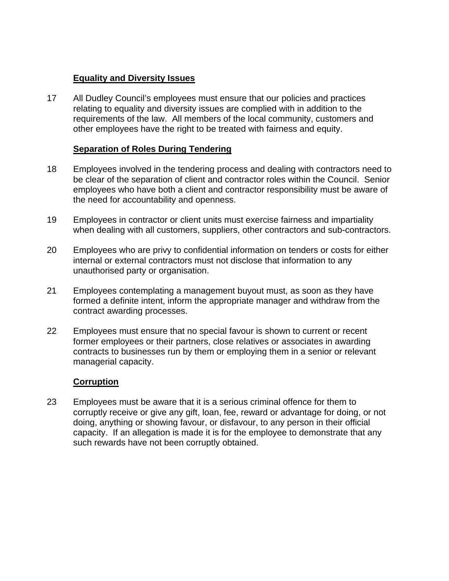### **Equality and Diversity Issues**

17 All Dudley Council's employees must ensure that our policies and practices relating to equality and diversity issues are complied with in addition to the requirements of the law. All members of the local community, customers and other employees have the right to be treated with fairness and equity.

### **Separation of Roles During Tendering**

- 18 Employees involved in the tendering process and dealing with contractors need to be clear of the separation of client and contractor roles within the Council. Senior employees who have both a client and contractor responsibility must be aware of the need for accountability and openness.
- 19 Employees in contractor or client units must exercise fairness and impartiality when dealing with all customers, suppliers, other contractors and sub-contractors.
- 20 Employees who are privy to confidential information on tenders or costs for either internal or external contractors must not disclose that information to any unauthorised party or organisation.
- 21 Employees contemplating a management buyout must, as soon as they have formed a definite intent, inform the appropriate manager and withdraw from the contract awarding processes.
- 22 Employees must ensure that no special favour is shown to current or recent former employees or their partners, close relatives or associates in awarding contracts to businesses run by them or employing them in a senior or relevant managerial capacity.

#### **Corruption**

23 Employees must be aware that it is a serious criminal offence for them to corruptly receive or give any gift, loan, fee, reward or advantage for doing, or not doing, anything or showing favour, or disfavour, to any person in their official capacity. If an allegation is made it is for the employee to demonstrate that any such rewards have not been corruptly obtained.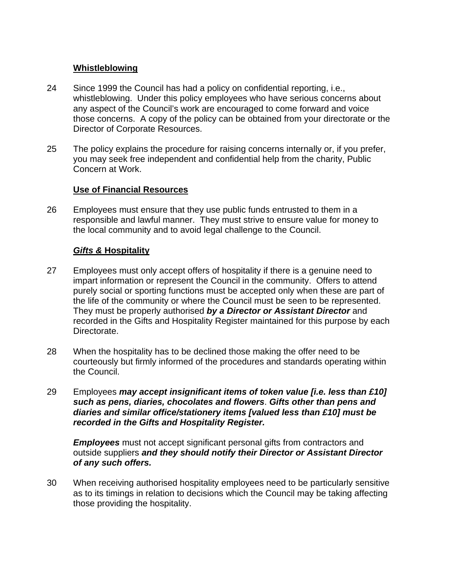### **Whistleblowing**

- 24 Since 1999 the Council has had a policy on confidential reporting, i.e., whistleblowing. Under this policy employees who have serious concerns about any aspect of the Council's work are encouraged to come forward and voice those concerns. A copy of the policy can be obtained from your directorate or the Director of Corporate Resources.
- 25 The policy explains the procedure for raising concerns internally or, if you prefer, you may seek free independent and confidential help from the charity, Public Concern at Work.

### **Use of Financial Resources**

26 Employees must ensure that they use public funds entrusted to them in a responsible and lawful manner. They must strive to ensure value for money to the local community and to avoid legal challenge to the Council.

## *Gifts &* **Hospitality**

- 27 Employees must only accept offers of hospitality if there is a genuine need to impart information or represent the Council in the community. Offers to attend purely social or sporting functions must be accepted only when these are part of the life of the community or where the Council must be seen to be represented. They must be properly authorised *by a Director or Assistant Director* and recorded in the Gifts and Hospitality Register maintained for this purpose by each Directorate.
- 28 When the hospitality has to be declined those making the offer need to be courteously but firmly informed of the procedures and standards operating within the Council.
- 29 Employees *may accept insignificant items of token value [i.e. less than £10] such as pens, diaries, chocolates and flowers*. *Gifts other than pens and diaries and similar office/stationery items [valued less than £10] must be recorded in the Gifts and Hospitality Register.*

*Employees* must not accept significant personal gifts from contractors and outside suppliers *and they should notify their Director or Assistant Director of any such offers.*

30 When receiving authorised hospitality employees need to be particularly sensitive as to its timings in relation to decisions which the Council may be taking affecting those providing the hospitality.